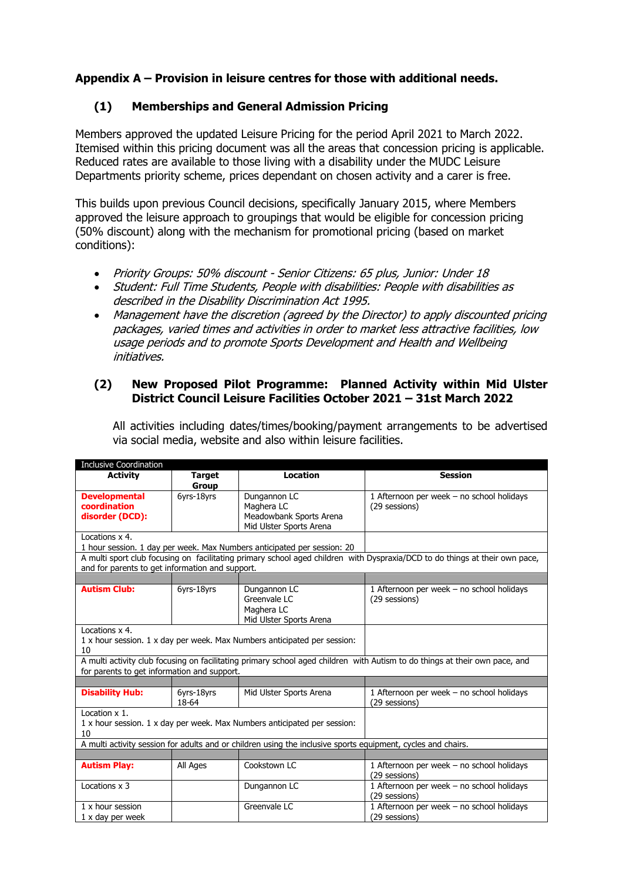### **Appendix A – Provision in leisure centres for those with additional needs.**

#### **(1) Memberships and General Admission Pricing**

Members approved the updated Leisure Pricing for the period April 2021 to March 2022. Itemised within this pricing document was all the areas that concession pricing is applicable. Reduced rates are available to those living with a disability under the MUDC Leisure Departments priority scheme, prices dependant on chosen activity and a carer is free.

This builds upon previous Council decisions, specifically January 2015, where Members approved the leisure approach to groupings that would be eligible for concession pricing (50% discount) along with the mechanism for promotional pricing (based on market conditions):

- Priority Groups: 50% discount Senior Citizens: 65 plus, Junior: Under 18
- Student: Full Time Students, People with disabilities: People with disabilities as described in the Disability Discrimination Act 1995.
- Management have the discretion (agreed by the Director) to apply discounted pricing packages, varied times and activities in order to market less attractive facilities, low usage periods and to promote Sports Development and Health and Wellbeing initiatives.

#### **(2) New Proposed Pilot Programme: Planned Activity within Mid Ulster District Council Leisure Facilities October 2021 – 31st March 2022**

All activities including dates/times/booking/payment arrangements to be advertised via social media, website and also within leisure facilities.

| <b>Inclusive Coordination</b>                           |                               |                                                                                                              |                                                                                                                             |
|---------------------------------------------------------|-------------------------------|--------------------------------------------------------------------------------------------------------------|-----------------------------------------------------------------------------------------------------------------------------|
| <b>Activity</b>                                         | <b>Target</b><br><b>Group</b> | <b>Location</b>                                                                                              | <b>Session</b>                                                                                                              |
| <b>Developmental</b><br>coordination<br>disorder (DCD): | 6yrs-18yrs                    | Dungannon LC<br>Maghera LC<br>Meadowbank Sports Arena<br>Mid Ulster Sports Arena                             | 1 Afternoon per week - no school holidays<br>(29 sessions)                                                                  |
| Locations x 4.                                          |                               |                                                                                                              |                                                                                                                             |
|                                                         |                               | 1 hour session. 1 day per week. Max Numbers anticipated per session: 20                                      |                                                                                                                             |
| and for parents to get information and support.         |                               |                                                                                                              | A multi sport club focusing on facilitating primary school aged children with Dyspraxia/DCD to do things at their own pace, |
|                                                         |                               |                                                                                                              |                                                                                                                             |
| <b>Autism Club:</b>                                     | 6yrs-18yrs                    | Dungannon LC<br>Greenvale LC<br>Maghera LC<br>Mid Ulster Sports Arena                                        | 1 Afternoon per week - no school holidays<br>(29 sessions)                                                                  |
| Locations x 4.<br>10                                    |                               | 1 x hour session. 1 x day per week. Max Numbers anticipated per session:                                     |                                                                                                                             |
| for parents to get information and support.             |                               |                                                                                                              | A multi activity club focusing on facilitating primary school aged children with Autism to do things at their own pace, and |
|                                                         |                               |                                                                                                              |                                                                                                                             |
| <b>Disability Hub:</b>                                  | 6yrs-18yrs<br>18-64           | Mid Ulster Sports Arena                                                                                      | 1 Afternoon per week - no school holidays<br>(29 sessions)                                                                  |
| Location x 1.<br>10                                     |                               | 1 x hour session. 1 x day per week. Max Numbers anticipated per session:                                     |                                                                                                                             |
|                                                         |                               | A multi activity session for adults and or children using the inclusive sports equipment, cycles and chairs. |                                                                                                                             |
|                                                         |                               |                                                                                                              |                                                                                                                             |
| <b>Autism Play:</b>                                     | All Ages                      | Cookstown LC                                                                                                 | 1 Afternoon per week - no school holidays<br>(29 sessions)                                                                  |
| Locations x 3                                           |                               | Dungannon LC                                                                                                 | 1 Afternoon per week - no school holidays<br>(29 sessions)                                                                  |
| 1 x hour session<br>1 x day per week                    |                               | Greenvale LC                                                                                                 | 1 Afternoon per week - no school holidays<br>(29 sessions)                                                                  |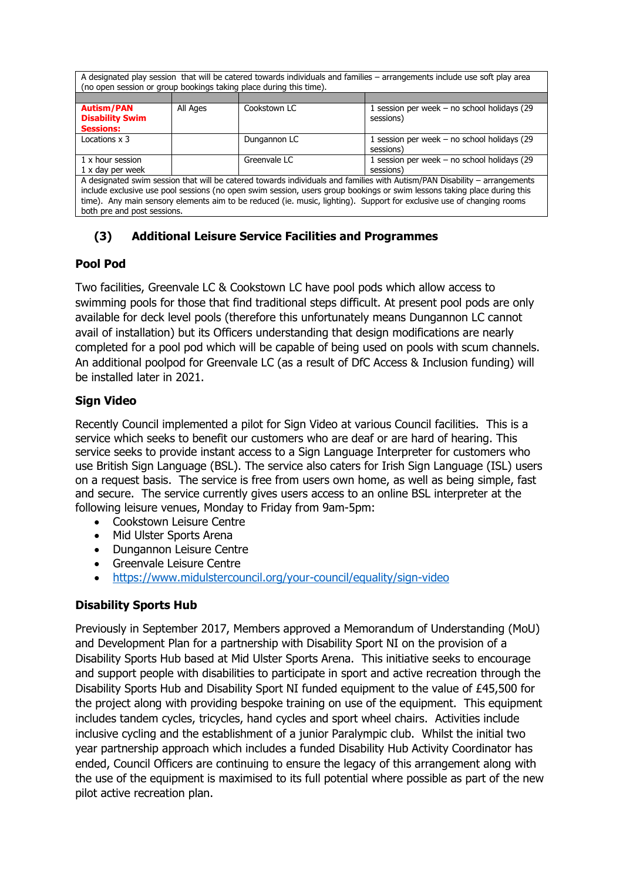A designated play session that will be catered towards individuals and families – arrangements include use soft play area (no open session or group bookings taking place during this time).

| <b>Autism/PAN</b><br><b>Disability Swim</b><br><b>Sessions:</b>                                                           | All Ages | Cookstown LC | 1 session per week $-$ no school holidays (29<br>sessions) |  |  |
|---------------------------------------------------------------------------------------------------------------------------|----------|--------------|------------------------------------------------------------|--|--|
| Locations x 3                                                                                                             |          | Dungannon LC | 1 session per week $-$ no school holidays (29<br>sessions) |  |  |
| 1 x hour session                                                                                                          |          | Greenvale LC | 1 session per week $-$ no school holidays (29              |  |  |
| 1 x day per week                                                                                                          |          |              | sessions)                                                  |  |  |
| A designated swim session that will be catered towards individuals and families with Autism/PAN Disability - arrangements |          |              |                                                            |  |  |
| include exclusive use pool sessions (no open swim session, users group bookings or swim lessons taking place during this  |          |              |                                                            |  |  |
| time). Any main sensory elements aim to be reduced (ie. music, lighting). Support for exclusive use of changing rooms     |          |              |                                                            |  |  |

both pre and post sessions.

# **(3) Additional Leisure Service Facilities and Programmes**

# **Pool Pod**

Two facilities, Greenvale LC & Cookstown LC have pool pods which allow access to swimming pools for those that find traditional steps difficult. At present pool pods are only available for deck level pools (therefore this unfortunately means Dungannon LC cannot avail of installation) but its Officers understanding that design modifications are nearly completed for a pool pod which will be capable of being used on pools with scum channels. An additional poolpod for Greenvale LC (as a result of DfC Access & Inclusion funding) will be installed later in 2021.

# **Sign Video**

Recently Council implemented a pilot for Sign Video at various Council facilities. This is a service which seeks to benefit our customers who are deaf or are hard of hearing. This service seeks to provide instant access to a Sign Language Interpreter for customers who use British Sign Language (BSL). The service also caters for Irish Sign Language (ISL) users on a request basis. The service is free from users own home, as well as being simple, fast and secure. The service currently gives users access to an online BSL interpreter at the following leisure venues, Monday to Friday from 9am-5pm:

- Cookstown Leisure Centre
- Mid Ulster Sports Arena
- Dungannon Leisure Centre
- Greenvale Leisure Centre
- <https://www.midulstercouncil.org/your-council/equality/sign-video>

# **Disability Sports Hub**

Previously in September 2017, Members approved a Memorandum of Understanding (MoU) and Development Plan for a partnership with Disability Sport NI on the provision of a Disability Sports Hub based at Mid Ulster Sports Arena. This initiative seeks to encourage and support people with disabilities to participate in sport and active recreation through the Disability Sports Hub and Disability Sport NI funded equipment to the value of £45,500 for the project along with providing bespoke training on use of the equipment. This equipment includes tandem cycles, tricycles, hand cycles and sport wheel chairs. Activities include inclusive cycling and the establishment of a junior Paralympic club. Whilst the initial two year partnership approach which includes a funded Disability Hub Activity Coordinator has ended, Council Officers are continuing to ensure the legacy of this arrangement along with the use of the equipment is maximised to its full potential where possible as part of the new pilot active recreation plan.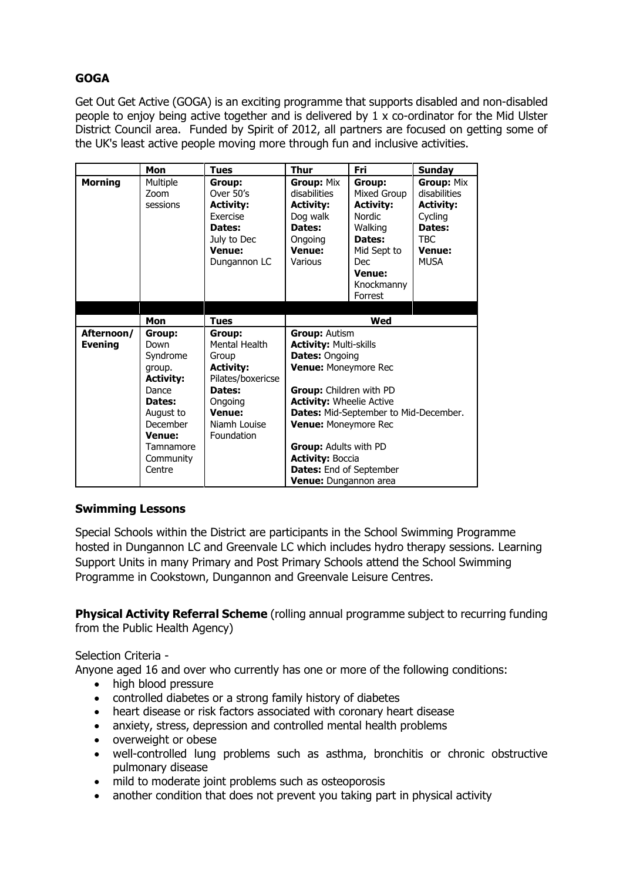# **GOGA**

Get Out Get Active (GOGA) is an exciting programme that supports disabled and non-disabled people to enjoy being active together and is delivered by 1 x co-ordinator for the Mid Ulster District Council area. Funded by Spirit of 2012, all partners are focused on getting some of the UK's least active people moving more through fun and inclusive activities.

|                              | Mon                                                                                                                                                | <b>Tues</b>                                                                                                                                   | <b>Thur</b>                                                                                                                                                                                                                                                                                                                                          | <b>Fri</b>                                                                                                                                             | <b>Sunday</b>                                                                                                     |  |
|------------------------------|----------------------------------------------------------------------------------------------------------------------------------------------------|-----------------------------------------------------------------------------------------------------------------------------------------------|------------------------------------------------------------------------------------------------------------------------------------------------------------------------------------------------------------------------------------------------------------------------------------------------------------------------------------------------------|--------------------------------------------------------------------------------------------------------------------------------------------------------|-------------------------------------------------------------------------------------------------------------------|--|
| <b>Morning</b>               | Multiple<br>Zoom<br>sessions                                                                                                                       | Group:<br>Over 50's<br><b>Activity:</b><br>Exercise<br>Dates:<br>July to Dec<br>Venue:<br>Dungannon LC                                        | Group: Mix<br>disabilities<br><b>Activity:</b><br>Dog walk<br>Dates:<br>Ongoing<br>Venue:<br>Various                                                                                                                                                                                                                                                 | Group:<br>Mixed Group<br><b>Activity:</b><br><b>Nordic</b><br>Walking<br>Dates:<br>Mid Sept to<br><b>Dec</b><br><b>Venue:</b><br>Knockmanny<br>Forrest | Group: Mix<br>disabilities<br><b>Activity:</b><br>Cycling<br>Dates:<br><b>TBC</b><br><b>Venue:</b><br><b>MUSA</b> |  |
|                              |                                                                                                                                                    |                                                                                                                                               |                                                                                                                                                                                                                                                                                                                                                      |                                                                                                                                                        |                                                                                                                   |  |
|                              | Mon                                                                                                                                                | <b>Tues</b>                                                                                                                                   | Wed                                                                                                                                                                                                                                                                                                                                                  |                                                                                                                                                        |                                                                                                                   |  |
| Afternoon/<br><b>Evening</b> | Group:<br>Down<br>Syndrome<br>group.<br><b>Activity:</b><br>Dance<br>Dates:<br>August to<br>December<br>Venue:<br>Tamnamore<br>Community<br>Centre | Group:<br>Mental Health<br>Group<br><b>Activity:</b><br>Pilates/boxericse<br>Dates:<br>Ongoing<br><b>Venue:</b><br>Niamh Louise<br>Foundation | <b>Group: Autism</b><br><b>Activity: Multi-skills</b><br><b>Dates: Ongoing</b><br>Venue: Moneymore Rec<br>Group: Children with PD<br><b>Activity: Wheelie Active</b><br>Dates: Mid-September to Mid-December.<br>Venue: Moneymore Rec<br><b>Group:</b> Adults with PD<br><b>Activity: Boccia</b><br>Dates: End of September<br>Venue: Dungannon area |                                                                                                                                                        |                                                                                                                   |  |

#### **Swimming Lessons**

Special Schools within the District are participants in the School Swimming Programme hosted in Dungannon LC and Greenvale LC which includes hydro therapy sessions. Learning Support Units in many Primary and Post Primary Schools attend the School Swimming Programme in Cookstown, Dungannon and Greenvale Leisure Centres.

**Physical Activity Referral Scheme** (rolling annual programme subject to recurring funding from the Public Health Agency)

#### Selection Criteria -

Anyone aged 16 and over who currently has one or more of the following conditions:

- high blood pressure
- controlled diabetes or a strong family history of diabetes
- heart disease or risk factors associated with coronary heart disease
- anxiety, stress, depression and controlled mental health problems
- overweight or obese
- well-controlled lung problems such as asthma, bronchitis or chronic obstructive pulmonary disease
- mild to moderate joint problems such as osteoporosis
- another condition that does not prevent you taking part in physical activity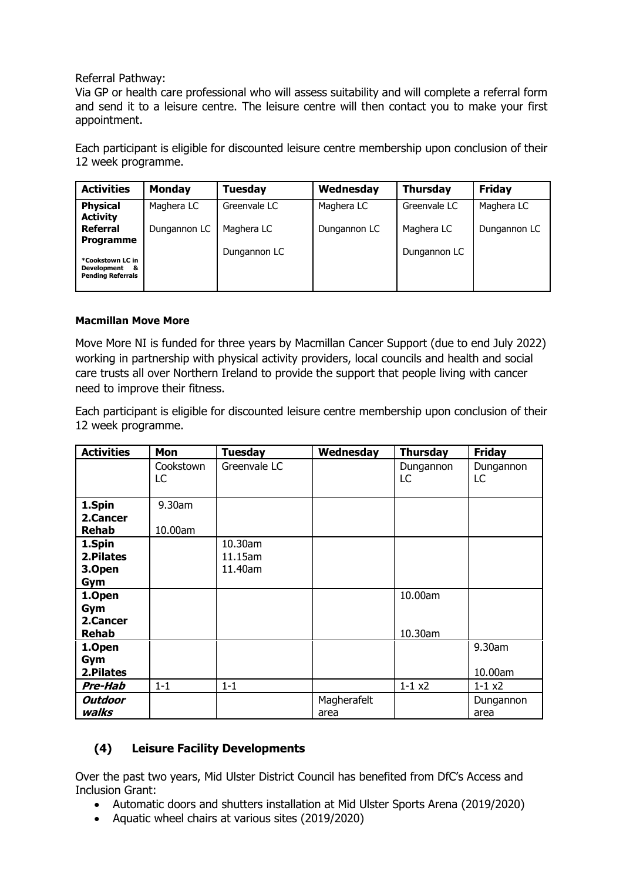#### Referral Pathway:

Via GP or health care professional who will assess suitability and will complete a referral form and send it to a leisure centre. The leisure centre will then contact you to make your first appointment.

Each participant is eligible for discounted leisure centre membership upon conclusion of their 12 week programme.

| <b>Activities</b>                                                 | <b>Monday</b> | <b>Tuesday</b> | Wednesday    | <b>Thursday</b> | <b>Friday</b> |
|-------------------------------------------------------------------|---------------|----------------|--------------|-----------------|---------------|
| <b>Physical</b><br><b>Activity</b>                                | Maghera LC    | Greenvale LC   | Maghera LC   | Greenvale LC    | Maghera LC    |
| <b>Referral</b><br><b>Programme</b>                               | Dungannon LC  | Maghera LC     | Dungannon LC | Maghera LC      | Dungannon LC  |
| *Cookstown LC in<br>Development<br>-8<br><b>Pending Referrals</b> |               | Dungannon LC   |              | Dungannon LC    |               |

#### **Macmillan Move More**

Move More NI is funded for three years by Macmillan Cancer Support (due to end July 2022) working in partnership with physical activity providers, local councils and health and social care trusts all over Northern Ireland to provide the support that people living with cancer need to improve their fitness.

Each participant is eligible for discounted leisure centre membership upon conclusion of their 12 week programme.

| <b>Activities</b> | Mon              | <b>Tuesday</b> | Wednesday   | <b>Thursday</b> | <b>Friday</b>   |
|-------------------|------------------|----------------|-------------|-----------------|-----------------|
|                   | Cookstown<br>LC. | Greenvale LC   |             | Dungannon<br>LC | Dungannon<br>LC |
| 1.Spin            | 9.30am           |                |             |                 |                 |
| 2.Cancer          |                  |                |             |                 |                 |
| Rehab             | 10.00am          |                |             |                 |                 |
| 1.Spin            |                  | 10.30am        |             |                 |                 |
| 2.Pilates         |                  | 11.15am        |             |                 |                 |
| 3.Open            |                  | 11.40am        |             |                 |                 |
| Gym               |                  |                |             |                 |                 |
| 1.Open            |                  |                |             | 10.00am         |                 |
| Gym               |                  |                |             |                 |                 |
| 2.Cancer          |                  |                |             |                 |                 |
| Rehab             |                  |                |             | 10.30am         |                 |
| 1.Open            |                  |                |             |                 | 9.30am          |
| Gym               |                  |                |             |                 |                 |
| 2.Pilates         |                  |                |             |                 | 10.00am         |
| <b>Pre-Hab</b>    | $1 - 1$          | $1 - 1$        |             | $1 - 1 x2$      | $1 - 1 x2$      |
| <b>Outdoor</b>    |                  |                | Magherafelt |                 | Dungannon       |
| walks             |                  |                | area        |                 | area            |

# **(4) Leisure Facility Developments**

Over the past two years, Mid Ulster District Council has benefited from DfC's Access and Inclusion Grant:

- Automatic doors and shutters installation at Mid Ulster Sports Arena (2019/2020)
- Aquatic wheel chairs at various sites (2019/2020)